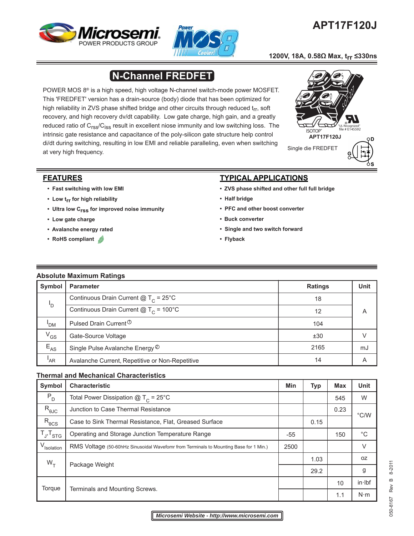



# **APT17F120J**

## **1200V, 18A, 0.58Ω Max, trr ≤330ns**

# **N-Channel FREDFET**

POWER MOS 8® is a high speed, high voltage N-channel switch-mode power MOSFET. This 'FREDFET' version has a drain-source (body) diode that has been optimized for high reliability in ZVS phase shifted bridge and other circuits through reduced  $t_{rr}$ , soft recovery, and high recovery dv/dt capability. Low gate charge, high gain, and a greatly reduced ratio of C<sub>rss</sub>/C<sub>iss</sub> result in excellent niose immunity and low switching loss. The intrinsic gate resistance and capacitance of the poly-silicon gate structure help control di/dt during switching, resulting in low EMI and reliable paralleling, even when switching at very high frequency.



# **FEATURES**

- **Fast switching with low EMI**
- **Low trr for high reliability**
- **Ultra low Crss for improved noise immunity**
- **Low gate charge**
- **Avalanche energy rated**
- **RoHS compliant**

# **TYPICAL APPLICATIONS**

- **ZVS phase shifted and other full full bridge**
- **Half bridge**
- **PFC and other boost converter**
- **Buck converter**
- **Single and two switch forward**
- **Flyback**

#### **Absolute Maximum Ratings**

| Symbol                     | <b>Parameter</b>                                                  | <b>Ratings</b> | Unit |
|----------------------------|-------------------------------------------------------------------|----------------|------|
|                            | Continuous Drain Current $@T_c = 25°C$                            | 18             |      |
| 'D                         | Continuous Drain Current $\textcircled{a}$ T <sub>c</sub> = 100°C | 12             | A    |
| 'DM                        | Pulsed Drain Current <sup>1</sup>                                 | 104            |      |
| $V_{GS}$                   | Gate-Source Voltage                                               | ±30            |      |
| $\mathsf{E}_{\mathsf{AS}}$ | Single Pulse Avalanche Energy <sup>2</sup>                        | 2165           | mJ   |
| 'AR                        | Avalanche Current, Repetitive or Non-Repetitive                   | 14             | A    |

# **Thermal and Mechanical Characteristics**

| Symbol                 | <b>Characteristic</b>                                                                 |  | <b>Typ</b> | <b>Max</b> | <b>Unit</b>   |
|------------------------|---------------------------------------------------------------------------------------|--|------------|------------|---------------|
| $P_D$                  | Total Power Dissipation $@T_c = 25°C$                                                 |  |            | 545        | W             |
| $R_{\theta \text{JC}}$ | Junction to Case Thermal Resistance                                                   |  |            | 0.23       | $\degree$ C/W |
| $R_{\theta CS}$        | Case to Sink Thermal Resistance, Flat, Greased Surface                                |  | 0.15       |            |               |
| $T_{J}$ , $T_{STG}$    | Operating and Storage Junction Temperature Range                                      |  |            | 150        | $^{\circ}C$   |
| V <sub>Isolation</sub> | RMS Voltage (50-60hHz Sinusoidal Wavefomr from Terminals to Mounting Base for 1 Min.) |  |            |            | $\vee$        |
| $W_{T}$                | Package Weight                                                                        |  | 1.03       |            | 0Z            |
|                        |                                                                                       |  | 29.2       |            | g             |
| Torque                 | Terminals and Mounting Screws.                                                        |  |            | 10         | in·lbf        |
|                        |                                                                                       |  |            | 1.1        | $N \cdot m$   |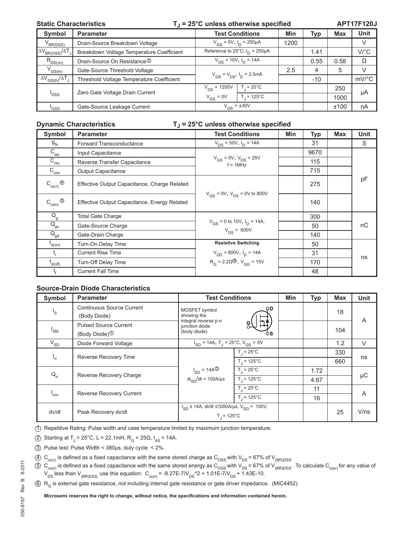#### Static Characteristics **T**<sub>J</sub> = 25°C unless otherwise specified

**APT17F120J**

| Symbol                                                | <b>Parameter</b>                          | <b>Test Conditions</b>               |                      | Min  | Typ   | <b>Max</b> | Unit                |
|-------------------------------------------------------|-------------------------------------------|--------------------------------------|----------------------|------|-------|------------|---------------------|
| $V_{BR(DSS)}$                                         | Drain-Source Breakdown Voltage            | $V_{GS} = 0V$ , $I_D = 250 \mu A$    |                      | 1200 |       |            | V                   |
| $\Delta V_{BR(DSS)}/\Delta T_J$                       | Breakdown Voltage Temperature Coefficient | Reference to 25°C, $I_D = 250 \mu A$ |                      |      | 1.41  |            | $V$ /°C             |
| $R_{DS(on)}$                                          | Drain-Source On Resistance <sup>3</sup>   | $V_{GS}$ = 10V, $I_D$ = 14A          |                      |      | 0.55  | 0.58       | Ω                   |
| $V_{GS(th)}$                                          | Gate-Source Threshold Voltage             | $V_{GS} = V_{DS}$ , $I_D = 2.5mA$    |                      | 2.5  | 4     | 5          | $\vee$              |
| $\Delta V$ <sub>GS(th)</sub> $/\Delta T$ <sub>J</sub> | Threshold Voltage Temperature Coefficient |                                      |                      |      | $-10$ |            | $mV$ <sup>o</sup> C |
|                                                       | Zero Gate Voltage Drain Current           | $V_{DS}$ = 1200V                     | $T = 25^{\circ}$ C   |      |       | 250        | μA                  |
| <sup>'</sup> DSS                                      |                                           | $V_{GS} = 0V$                        | $T_1 = 125^{\circ}C$ |      |       | 1000       |                     |
| 'GSS                                                  | Gate-Source Leakage Current               | $V_{GS}$ = ±30V                      |                      |      |       | ±100       | nA                  |

#### **Dynamic Characteristics** T<sub>J</sub> = 25°C unless otherwise specified

| <b>Symbol</b>                            | <b>Parameter</b>                             | <b>Test Conditions</b>                               | Min | <b>Typ</b> | <b>Max</b> | <b>Unit</b> |  |
|------------------------------------------|----------------------------------------------|------------------------------------------------------|-----|------------|------------|-------------|--|
| $g_{\rm fs}$                             | Forward Transconductance                     | $V_{DS}$ = 50V, $I_D$ = 14A                          |     | 31         |            | S           |  |
| $C_{\text{iss}}$                         | Input Capacitance                            |                                                      |     | 9670       |            |             |  |
| $C_{\text{rss}}$                         | Reverse Transfer Capacitance                 | $V_{GS}$ = 0V, $V_{DS}$ = 25V<br>$f = 1$ MHz         |     | 115        |            |             |  |
| $C_{\overline{\text{oss}}}$              | Output Capacitance                           |                                                      |     | 715        |            |             |  |
| $C_{o(cr)}^{\bullet}$                    | Effective Output Capacitance, Charge Related |                                                      |     | 275        |            | pF          |  |
| $\mathsf{C}_{\mathsf{o}(\mathsf{er})}$ ⑤ | Effective Output Capacitance, Energy Related | $V_{GS}$ = 0V, $V_{DS}$ = 0V to 800V                 |     | 140        |            |             |  |
| $\mathsf{Q}_{\mathsf{g}}$                | <b>Total Gate Charge</b>                     |                                                      |     | 300        |            |             |  |
| $Q_{gs}$                                 | Gate-Source Charge                           | $V_{GS}$ = 0 to 10V, $I_D$ = 14A,<br>$V_{DS}$ = 600V |     | 50         |            | nC          |  |
| $\bar{\mathsf{Q}}_\mathsf{gd}$           | Gate-Drain Charge                            |                                                      |     | 140        |            |             |  |
| $I_{d(0n)}$                              | Turn-On Delay Time                           | <b>Resistive Switching</b>                           |     | 50         |            |             |  |
|                                          | <b>Current Rise Time</b>                     | $V_{DD}$ = 800V, $I_D$ = 14A                         |     | 31         |            | ns          |  |
| l<br>d(off)                              | Turn-Off Delay Time                          | $R_G = 2.20\textcircled{\ }$ , $V_{GG} = 15V$        |     | 170        |            |             |  |
|                                          | <b>Current Fall Time</b>                     |                                                      |     | 48         |            |             |  |

### **Source-Drain Diode Characteristics**

| Symbol                  | <b>Parameter</b>                                            | <b>Test Conditions</b>                                                              | <b>Min</b>           | <b>Typ</b> | <b>Max</b> | <b>Unit</b> |         |
|-------------------------|-------------------------------------------------------------|-------------------------------------------------------------------------------------|----------------------|------------|------------|-------------|---------|
| $\mathsf{I}_\mathsf{S}$ | <b>Continuous Source Current</b><br>(Body Diode)            | MOSFET symbol<br>showing the                                                        | OD.                  |            |            | 18          | A       |
| 'sm                     | <b>Pulsed Source Current</b><br>(Body Diode) $\circledcirc$ | integral reverse p-n<br>junction diode<br>(body diode)                              | ÒS                   |            |            | 104         |         |
| $V_{SD}$                | Diode Forward Voltage                                       | $I_{SD}$ = 14A, T <sub>J</sub> = 25°C, V <sub>GS</sub> = 0V                         |                      |            |            | 1.2         | V       |
| $t_{rr}$                | Reverse Recovery Time                                       |                                                                                     | $T_{\rm d}$ = 25°C   |            |            | 330         | ns      |
|                         |                                                             |                                                                                     | $T_1 = 125^{\circ}C$ |            |            | 660         |         |
| $Q_{rr}$                | Reverse Recovery Charge                                     | $I_{SD} = 14A$ <sup>3</sup>                                                         | $T_1 = 25^{\circ}$ C |            | 1.72       |             | $\mu$ C |
|                         |                                                             | $di_{SD}/dt = 100A/\mu s$                                                           | $T_1 = 125^{\circ}C$ |            | 4.67       |             |         |
| 'rrm                    | Reverse Recovery Current                                    |                                                                                     | $T_1 = 25^{\circ}C$  |            | 11         |             |         |
|                         |                                                             | $T_1 = 125^{\circ}C$                                                                |                      |            | 16         |             | A       |
| dv/dt                   | Peak Recovery dv/dt                                         | $I_{SD}$ ≤ 14A, di/dt ≤1000A/µs, V <sub>DD</sub> = 100V,<br>$T_{\parallel}$ = 125°C |                      |            |            | 25          | V/ns    |

1 Repetitive Rating: Pulse width and case temperature limited by maximum junction temperature.

(2) Starting at T<sub>J</sub> = 25°C, L = 22.1mH, R<sub>G</sub> = 25Ω, I<sub>AS</sub> = 14A.

3 Pulse test: Pulse Width < 380μs, duty cycle < 2%.

 $40 \text{ C}_{\text{o (cr)}}$  is defined as a fixed capacitance with the same stored charge as C<sub>OSS</sub> with V<sub>DS</sub> = 67% of V<sub>(BR)DSS</sub>.

 $5)$   $\rm C_{_{o(er)}}$  is defined as a fixed capacitance with the same stored energy as  $\rm C_{_{OSS}}$  with V<sub>DS</sub> = 67% of V<sub>(BR)DSS</sub>. To calculate C<sub>o(er)</sub> for any value of  $V_{DS}$  less than  $V_{(BR)DSS}$  use this equation:  $C_{o(er)}$  = -8.27E-7/V<sub>DS</sub><sup>4</sup>2 + 1.01E-7/V<sub>DS</sub> + 1.43E-10.

6 R<sub>G</sub> is external gate resistance, not including internal gate resistance or gate driver impedance. (MIC4452)

Microsemi reserves the right to change, without notice, the specifications and information contained herein.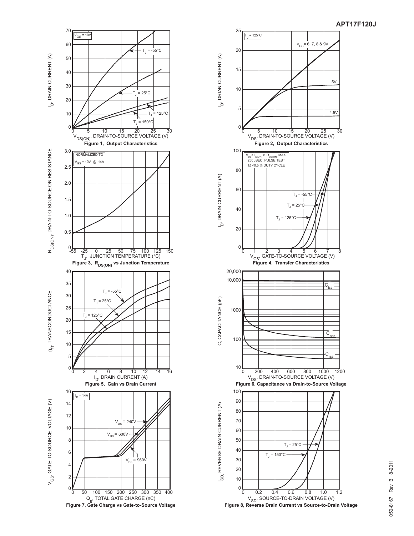